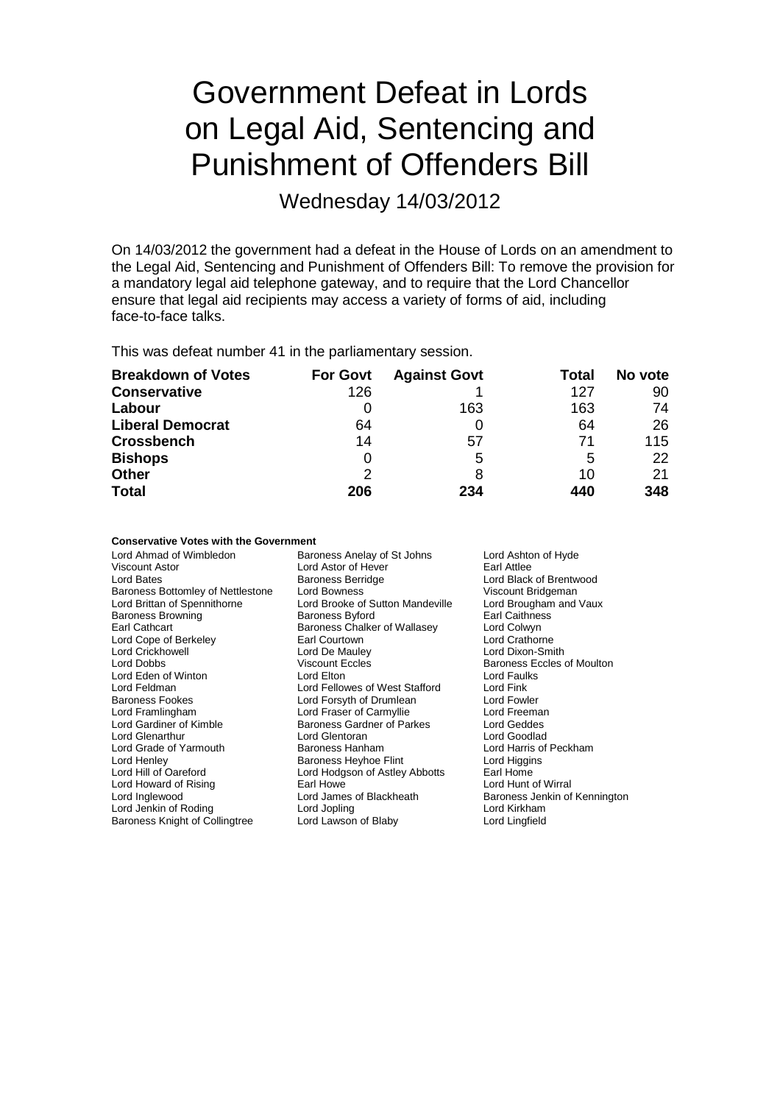# Government Defeat in Lords on Legal Aid, Sentencing and Punishment of Offenders Bill

Wednesday 14/03/2012

On 14/03/2012 the government had a defeat in the House of Lords on an amendment to the Legal Aid, Sentencing and Punishment of Offenders Bill: To remove the provision for a mandatory legal aid telephone gateway, and to require that the Lord Chancellor ensure that legal aid recipients may access a variety of forms of aid, including face-to-face talks.

This was defeat number 41 in the parliamentary session.

| <b>Breakdown of Votes</b> | <b>For Govt</b> | <b>Against Govt</b> | Total | No vote |
|---------------------------|-----------------|---------------------|-------|---------|
| <b>Conservative</b>       | 126             |                     | 127   | 90      |
| Labour                    | 0               | 163                 | 163   | 74      |
| <b>Liberal Democrat</b>   | 64              |                     | 64    | 26      |
| <b>Crossbench</b>         | 14              | 57                  | 71    | 115     |
| <b>Bishops</b>            | 0               | 5                   | 5     | 22      |
| <b>Other</b>              | 2               | 8                   | 10    | 21      |
| <b>Total</b>              | 206             | 234                 | 440   | 348     |

## **Conservative Votes with the Government**

| Lord Ahmad of Wimbledon<br>Viscount Astor<br>Lord Bates<br>Baroness Bottomley of Nettlestone<br>Lord Brittan of Spennithorne<br><b>Baroness Browning</b><br>Earl Cathcart<br>Lord Cope of Berkeley<br><b>Lord Crickhowell</b><br>Lord Dobbs<br>Lord Eden of Winton<br>Lord Feldman<br><b>Baroness Fookes</b><br>Lord Framlingham<br>Lord Gardiner of Kimble<br><b>Lord Glenarthur</b><br>Lord Grade of Yarmouth<br>Lord Henley<br>Lord Hill of Oareford<br>Lord Howard of Rising<br>Lord Inglewood | Baroness Anelay of St Johns<br>Lord Astor of Hever<br><b>Baroness Berridge</b><br>Lord Bowness<br>Lord Brooke of Sutton Mandeville<br><b>Baroness Byford</b><br>Baroness Chalker of Wallasey<br>Earl Courtown<br>Lord De Mauley<br><b>Viscount Eccles</b><br>Lord Elton<br>Lord Fellowes of West Stafford<br>Lord Forsyth of Drumlean<br>Lord Fraser of Carmyllie<br><b>Baroness Gardner of Parkes</b><br>Lord Glentoran<br><b>Baroness Hanham</b><br>Baroness Heyhoe Flint<br>Lord Hodgson of Astley Abbotts<br>Earl Howe<br>Lord James of Blackheath | Lord Ashton of Hyde<br>Earl Attlee<br>Lord Black of Brentwood<br>Viscount Bridgeman<br>Lord Brougham and Vaux<br>Earl Caithness<br>Lord Colwyn<br>Lord Crathorne<br>Lord Dixon-Smith<br>Baroness Eccles of Moulton<br>Lord Faulks<br>Lord Fink<br>Lord Fowler<br>Lord Freeman<br>Lord Geddes<br>Lord Goodlad<br>Lord Harris of Peckham<br>Lord Higgins<br>Earl Home<br>Lord Hunt of Wirral<br>Baroness Jenkin of Kennington |
|----------------------------------------------------------------------------------------------------------------------------------------------------------------------------------------------------------------------------------------------------------------------------------------------------------------------------------------------------------------------------------------------------------------------------------------------------------------------------------------------------|--------------------------------------------------------------------------------------------------------------------------------------------------------------------------------------------------------------------------------------------------------------------------------------------------------------------------------------------------------------------------------------------------------------------------------------------------------------------------------------------------------------------------------------------------------|-----------------------------------------------------------------------------------------------------------------------------------------------------------------------------------------------------------------------------------------------------------------------------------------------------------------------------------------------------------------------------------------------------------------------------|
| Lord Jenkin of Roding                                                                                                                                                                                                                                                                                                                                                                                                                                                                              | Lord Jopling                                                                                                                                                                                                                                                                                                                                                                                                                                                                                                                                           | Lord Kirkham                                                                                                                                                                                                                                                                                                                                                                                                                |
| Baroness Knight of Collingtree                                                                                                                                                                                                                                                                                                                                                                                                                                                                     | Lord Lawson of Blaby                                                                                                                                                                                                                                                                                                                                                                                                                                                                                                                                   | Lord Lingfield                                                                                                                                                                                                                                                                                                                                                                                                              |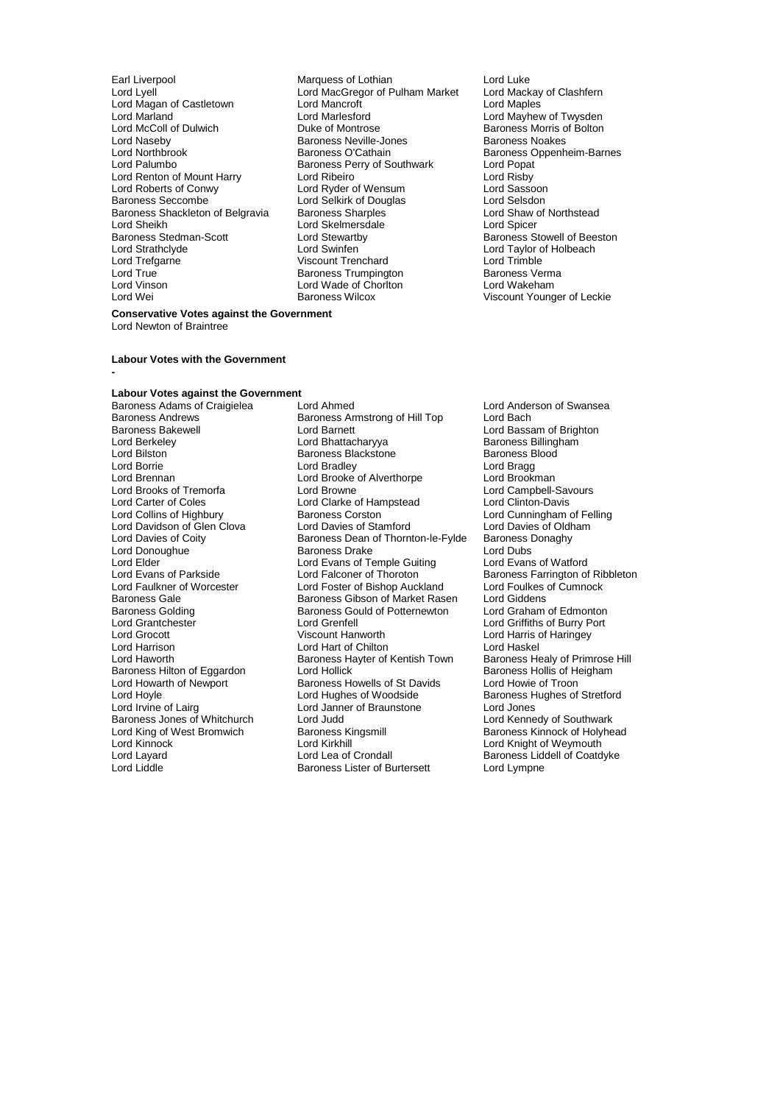- Earl Liverpool **Earl Liverpool** Marquess of Lothian **Lord Luke**<br>
Lord Lyell Lord MacGregor of Pulham Market Lord Mackay of Clashfern Lord Magan of Castletown Lord Mancroft<br>
Lord Marland Cost Lord Marlesford Lord McColl of Dulwich Duke of Montrose Baroness Morris of Baroness Morris of Baroness Morris of Bolton Baroness Morris of Baroness Morris of Baroness Morris of Baroness Morris of Baroness New Baroness New Baroness Network Lord Naseby **Baroness Neville-Jones**<br>
Lord Northbrook **Baroness O'Cathain** Lord Northbrook **Baroness O'Cathain** Baroness Oppenheim-Barnes<br>
Lord Palumbo<br>
Baroness Perry of Southwark Lord Popat Lord Renton of Mount Harry Lord Ribeiro<br>
Lord Roberts of Conwy Lord Ryder of Wensum Lord Rassoon Lord Roberts of Conwy Lord Ryder of Wensum Lord Sassoon Baroness Shackleton of Belgravia Baroness Sharples **Lord Shaw of Northstead Corporation**<br>Lord Sheikh Lord Share Lord Skelmersdale Lord Shicer Lord Sheikh **Lord Skelmersdale**<br>Baroness Stedman-Scott **Lord Stewartby** Baroness Stedman-Scott Lord Stewartby Baroness Stowell of Beeston<br>
Lord Strathclyde Lord Stewarth Lord Swinfen<br>
Lord Taylor of Holbeach Lord Strathclyde Lord Swinfen Lord Taylor of Holbeach Lord Trefgarne Viscount Trenchard Lord Trimble Lord True **Baroness Trumpington** Baroness Verman Baroness Verman Baroness Verman Baroness Verman Baroness Verman<br>Representative and Marchan Baroness Trumpington Baroness Verman Baroness Verman Baroness Verman Baroness Verm Lord Vinson **Lord Wade of Chorlton Lord Wade of Chorlton**<br> **Lord Wei** Baroness Wilcox
	- Lord MacGregor of Pulham Market Lord Mackay<br>Lord Mancroft **Lord Macket** Lord Marlesford **Lord Mayhew of Twysden**<br>
	Duke of Montrose **Lord Mayhew of Twysden** Baroness Perry of Southwark Lord Popat<br>Lord Ribeiro Lord Risby Lord Selkirk of Douglas<br>
	Baroness Sharples<br>
	Lord Shaw of Northstead<br>
	Lord Shaw of Northstead

# Viscount Younger of Leckie

### **Conservative Votes against the Government**

Lord Newton of Braintree

**-**

#### **Labour Votes with the Government**

# **Labour Votes against the Government**

Baroness Andrews **Baroness Andrews** Baroness Armstrong of Hill Top Baroness Bakewell Lord Carter of Coles<br>
Lord Collins of Highbury<br>
Baroness Corston Lord Elder Lord Evans of Temple Guiting<br>
Lord Evans of Parkside Lord Falconer of Thoroton Lord Howarth of Newport Baroness Howells of St Davids<br>
Lord Hoyle Cord Hughes of Woodside Baroness Jones of Whitchurch Lord Judd<br>
Lord King of West Bromwich Baroness Kingsmill

Baroness Adams of Craigielea Lord Ahmed Lord Anderson of Swansea Baroness Bakewell **Romannia Lord Barnett** Cord Baroness Lord Bassam of Brighton<br>Lord Berkeley **Lord Bassam Cord Baroness Brighton** Baroness Billingham Lord Berkeley **Lord Bhattacharyya** Baroness Billingham<br>
Lord Bilston **Baroness Blackstone** Baroness Blackstone Baroness Blood Lord Bilston **Baroness Blackstone** Baroness Blackstone Baroness Blackstone Baroness Blackstone Baroness Blackstone<br>
Barones Blackstone Baroness Blackstone Baroness Blackstone Baroness Blackstone Bradley Lord Borrie **Lord Bragg** Lord Bradley **Lord Bragg** Lord Bragg<br>
Lord Brennan **Lord Brooke** of Alverthorpe Lord Brookman Lord Brooke of Alverthorpe Lord Brookman<br>Lord Browne Lord Campbell-Savours Lord Brooks of Tremorfa Lord Browne Lord Browne Lord Campbell-Savours Lord Campbell-Savours Lord Clinton-Davis Baroness Corston **Collins Collins Collins Collins Collins** Lord Cunningham of Felling<br>
Lord Davies of Stamford Lord Davies of Oldham Lord Davidson of Glen Clova Lord Davies of Stamford Lord Davies of Oldh<br>
Lord Davies of Coity Baroness Dean of Thornton-le-Fylde Baroness Donaghy Baroness Dean of Thornton-le-Fylde Baroness I<br>Baroness Drake Lord Dubs Lord Donoughue Baroness Drake Lord Dubs Lord Evans of Parkside **Lord Falconer of Thoroton** Baroness Farrington of Ribbleton<br>
Lord Faulkner of Worcester Lord Foster of Bishop Auckland Lord Foulkes of Cumnock Lord Faulkner of Worcester Lord Foster of Bishop Auckland Lord Foulkes<br>
Baroness Gale Cumnock Cubson of Market Rasen Lord Giddens Baroness Gale Baroness Gibson of Market Rasen Lord Giddens<br>
Baroness Golding Baroness Gould of Potternewton Lord Graham of Edmonton Baroness Golding Baroness Gould of Potternewton<br>
Lord Grantchester
Lord Grenfell Lord Grantchester Lord Grenfell Lord Griffiths of Burry Port Lord Grocott Viscount Hanworth Lord Harris of Haringey Lord Harrison **Lord Hart of Chilton** Lord Haskel<br>Lord Haworth **Communist Communist Communist Communist Communist Communist Communist Communist Communist Communis** Baroness Hayter of Kentish Town Baroness Healy of Primrose<br>Lord Hollick Baroness Hollis of Heigham Baroness Hilton of Eggardon Lord Hollick (Baroness Hollis of Heigham Baroness Hollis of Heigham Baroness Howells of St Davids (Baroness Howeie of Troon Lord Hoyle **Lord Hughes of Woodside** Baroness Hughes of Stretford<br>
Lord Irvine of Lairq **Constant Lord Janner of Braunstone** Lord Jones Lord Janner of Braunstone Lord Jones **Lord Jones**<br>
Lord Judd<br>
Lord Kennedy of Southwark Lord King of West Bromwich Baroness Kingsmill Baroness Kinnock of Holyhead<br>Lord Kinnock Bromwich Barones Kinkhill Baroness Kinnock of Weymouth Lord Kinnock Lord Kirkhill Lord Knight of Weymouth Lord Layard Lord Lea of Crondall Baroness Liddell of Coatdyke Baroness Lister of Burtersett Lord Lympne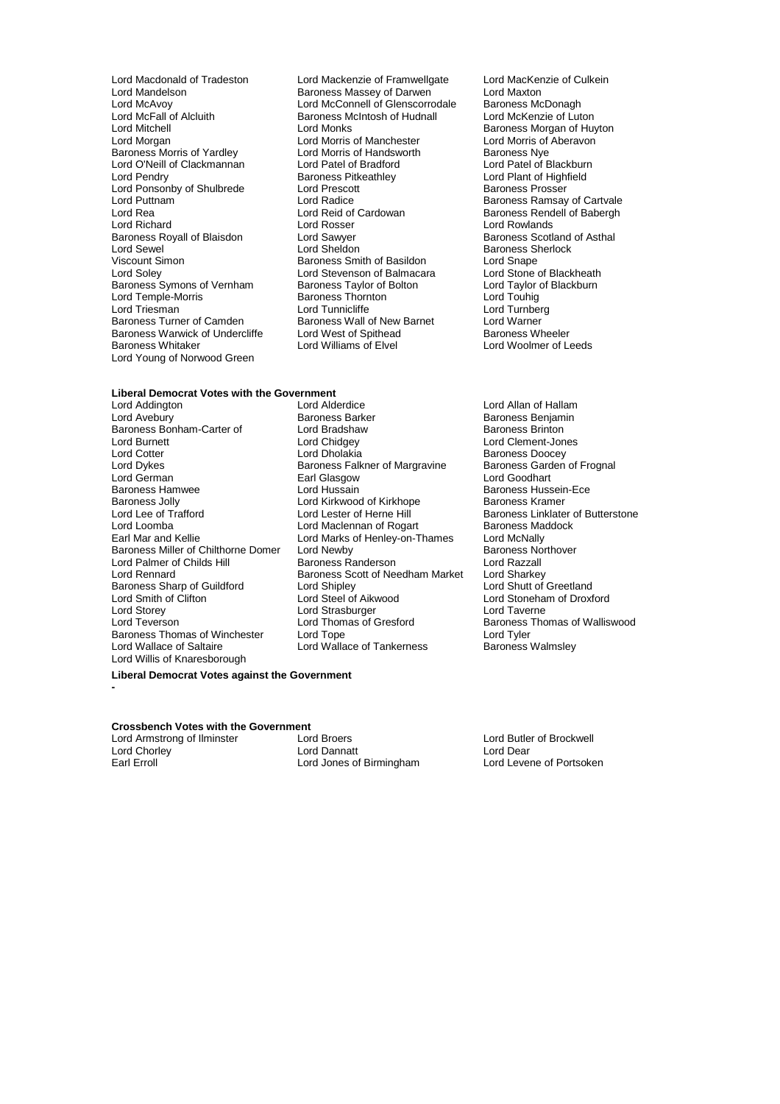- Lord McFall of Alcluith Baroness McIntosh of Hudnall Lord McKenzie of Luton Lord O'Neill of Clackmannan Lord Patel of Bradford<br>
Lord Pendry Clackmannan Baroness Pitkeathley Lord Ponsonby of Shulbrede Lord Prescott<br>
Lord Puttnam Lord Radice Baroness Royall of Blaisdon Lord Sawyer<br>
Lord Sewel Cord Sheldon Baroness Warwick of Undercliffe Lord West of Spithead<br>Baroness Whitaker **Baroness** Lord Williams of Elvel Lord Young of Norwood Green
- Lord Macdonald of Tradeston Lord Mackenzie of Framwellgate Lord MacKenzie of Culkein<br>
Lord Mandelson Culkein<br>
Lord Maxton Baroness Massey of Darwen **Baroness Massey of Darwen Baroness McDonach**<br>Lord McConnell of Glenscorrodale Baroness McDonagh Lord McConnell of Glenscorrodale Baroness McDonagh<br>Baroness McIntosh of Hudnall Lord McKenzie of Luton Lord Mitchell **Lord Monks** Lord Monks **Baroness Morgan of Huyton**<br>
Lord Morgan **Lord Morgan Lord Morgan Corporation**<br>
Lord Morgan **Corporation** Lord Morris of Manchester **Lord Morris of Aberavon** Lord Morris of Manchester Lord Morris of<br>
Lord Morris of Handsworth Baroness Nye Baroness Morris of Yardley **Lord Morris of Handsworth** Baroness Nye<br>
Lord O'Neill of Clackmannan Lord Patel of Bradford Lord Patel of Blackburn Baroness Pitkeathley<br>
Lord Prescott<br>
Baroness Prosser Lord Puttnam Lord Radice Englished Baroness Ramsay of Cartvale<br>
Lord Rea Lord Reid of Cardowan Baroness Rendell of Baberah Lord Rea Lord Reid of Cardowan Baroness Rendell of Babergh<br>
Lord Richard Cord Rosser Lord Rosser Lord Rowlands Lord Rosser **Lord Rowlands**<br>
Lord Sawver **Lord Rowland Research Ross**<br>
Baroness Scotland of Asthal Lord Sewel Lord Sheldon Baroness Sherlock Viscount Simon **Baroness Smith of Basildon** Exercise Cord Snape<br>
Lord Soley **Baroness Smith of Basildon** Balmacara Lord Stone of Blackheath Lord Stevenson of Balmacara Lord Stone of Blackheath<br>
Baroness Taylor of Bolton Lord Taylor of Blackburn Baroness Symons of Vernham Baroness Taylor of Bolton Lord Taylor control and Taylor of Bolton Lord Taylor of Bolton Lord Taylor of Bolton Lord Taylor of Bolton Lord Taylor of Bolton Lord Taylor of Bolton Lord Taylor of Tay Lord Temple-Morris **Communist Communist Communist Communist Communist Communist Communist Communist Communist Communist Communist Communist Communist Communist Communist Communist Communist Communist Communist Communist Co** Lord Triesman **Lord Tunnicliffe** Lord Tunnicliffe Lord Tunner<br>Baroness Turner of Camden Baroness Wall of New Barnet Lord Warner Baroness Wall of New Barnet Lord Warner Lord West of Spithead Baroness Wheeler

# **Liberal Democrat Votes with the Government**

- Baroness Bonham-Carter of Lord Bradshaw<br>
Lord Burnett Lord Chidgey Lord Dykes Baroness Falkner of Margravine Baroness Garden of Frognal Baroness Jolly **Communist Communist Communist Communist Communist Communist Communist Communist Communist Communist Communist Communist Communist Communist Communist Communist Communist Communist Communist Communist Commun** Baroness Sharp of Guildford Lord Shipley<br>
Lord Smith of Clifton Lord Steel of Aikwood Lord Storey **Lord Strasburger Lord Strasburger**<br>
Lord Teverson **Lord Thomas of Gresford** Baroness Thomas of Winchester Lord Willis of Knaresborough
- Lord Addington Lord Alderdice Lord Allan of Hallam Exames Barker Baroness Benjamin<br>
Lord Bradshaw Baroness Brinton Lord Burnett Lord Chidgey Lord Clement-Jones Lord Cotter **Lord Dholakia**<br>
Lord Dykes **Lord Dividend Baroness Falkner of Margravine** Baroness Garden of Frognal Lord German Earl Glasgow Lord Goodhart Baroness Hamwee Lord Hussain Baroness Hussein-Ece Lord Lee of Trafford Lord Lester of Herne Hill Baroness Linklater of Butterstone<br>
Lord Maclennan of Rogart Baroness Maddock Lord Loomba<br>
Lord Mac and Kellie **Lord Macket Lord Macket Conducts**<br>
Lord Macket Conducts of Henley-on-Thames Lord McNally Lord Marks of Henley-on-Thames Lord McNally<br>Lord Newby Baroness Northover Baroness Miller of Chilthorne Domer Lord Newby Baroness Northous Baroness Northous Baroness Northous Baroness No<br>
Lord Palmer of Childs Hill Baroness Randerson Lord Razzall Lord Palmer of Childs Hill **Baroness Randerson** Lord Razzall<br>Lord Rennard **Childs Hill Baroness Scott of Needham Market** Lord Sharkey Baroness Scott of Needham Market Lord Sharkey<br>Lord Shipley Lord Shutt of Greetland Lord Smith of Clifton Lord Steel of Aikwood Lord Stoneham of Droxford Lord Thomas of Gresford Baroness Thomas of Walliswood<br>
Lord Tope Baroness Thomas of Walliswood Lord Wallace of Saltaire **Lord Wallace of Tankerness** Baroness Walmsley

Lord Woolmer of Leeds

## **Liberal Democrat Votes against the Government**

# **Crossbench Votes with the Government**<br>Lord Armstrong of Ilminster Lord Broers

Lord Armstrong of Ilminster **Lord Broers** Lord Broers **Lord Broers** Lord Butler of Brockwell<br>
Lord Chorley **Lord Broer** Lord Dannatt Lord Dear Lord Chorley **Lord Dannatt** Lord Dannatt Lord Dear<br>
Lord Lord Jones of Birmingham Lord Levene of Portsoken

**-**

Lord Jones of Birmingham